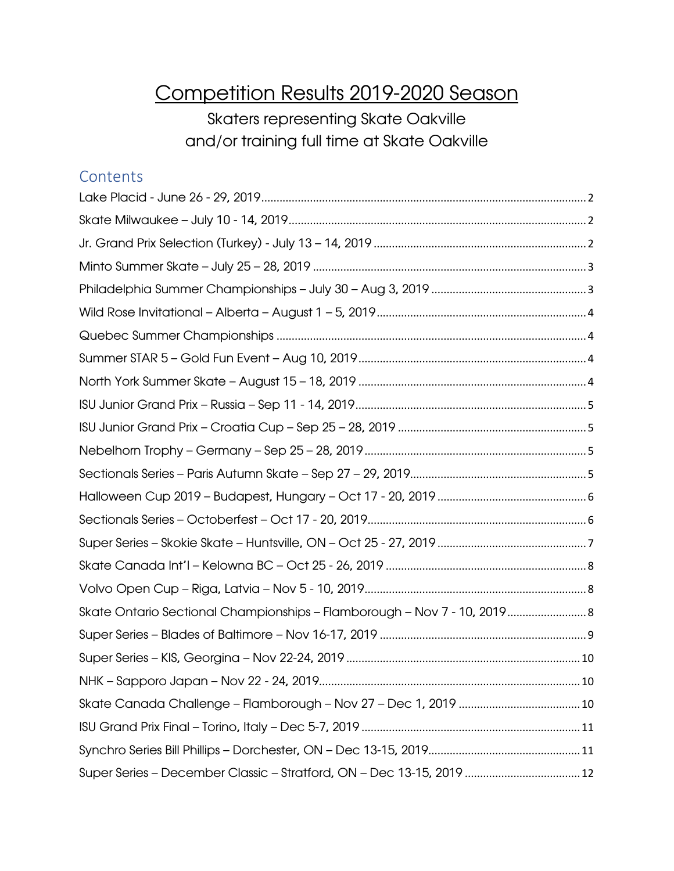## Competition Results 2019-2020 Season

Skaters representing Skate Oakville and/or training full time at Skate Oakville

#### **Contents**

| Skate Ontario Sectional Championships - Flamborough - Nov 7 - 10, 2019 8 |
|--------------------------------------------------------------------------|
|                                                                          |
|                                                                          |
|                                                                          |
|                                                                          |
|                                                                          |
|                                                                          |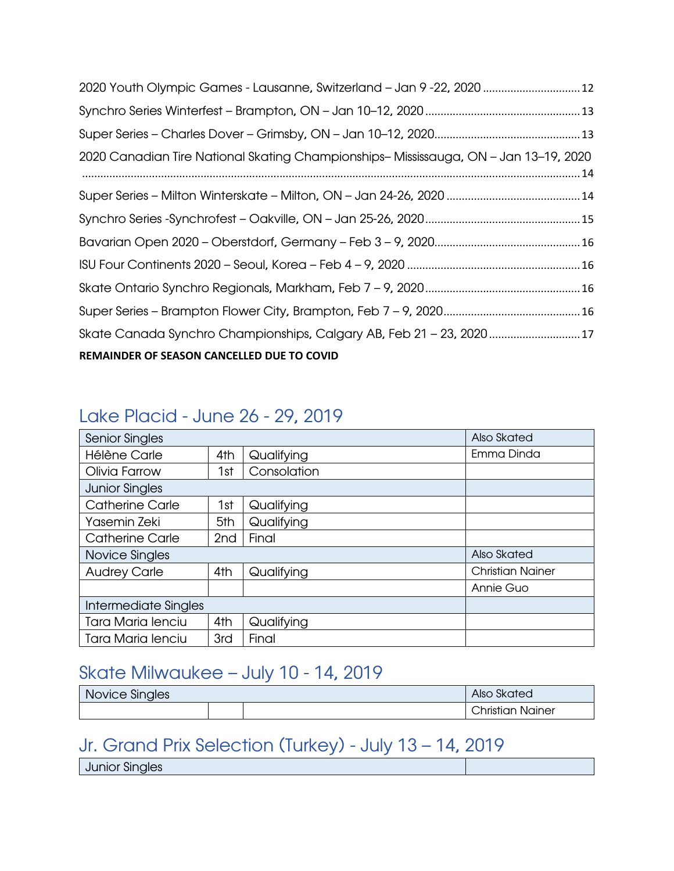| 2020 Canadian Tire National Skating Championships-Mississauga, ON - Jan 13-19, 2020 |  |
|-------------------------------------------------------------------------------------|--|
|                                                                                     |  |
|                                                                                     |  |
|                                                                                     |  |
|                                                                                     |  |
|                                                                                     |  |
|                                                                                     |  |
|                                                                                     |  |
| REMAINDER OF SEASON CANCELLED DUE TO COVID                                          |  |

#### <span id="page-1-0"></span>Lake Placid - June 26 - 29, 2019

| <b>Senior Singles</b>    |                 |             | Also Skated             |
|--------------------------|-----------------|-------------|-------------------------|
| <b>Hélène Carle</b>      | 4th             | Qualifying  | Emma Dinda              |
| Olivia Farrow            | 1st             | Consolation |                         |
| <b>Junior Singles</b>    |                 |             |                         |
| <b>Catherine Carle</b>   | 1st             | Qualifying  |                         |
| Yasemin Zeki             | 5th             | Qualifying  |                         |
| <b>Catherine Carle</b>   | 2 <sub>nd</sub> | Final       |                         |
| Novice Singles           | Also Skated     |             |                         |
| <b>Audrey Carle</b>      | 4th             | Qualifying  | <b>Christian Nainer</b> |
|                          |                 |             | Annie Guo               |
| Intermediate Singles     |                 |             |                         |
| <b>Tara Maria lenciu</b> | 4th             | Qualifying  |                         |
| <b>Tara Maria lenciu</b> | 3rd             | Final       |                         |

#### <span id="page-1-1"></span>Skate Milwaukee – July 10 - 14, 2019

| Novice Singles | Also Skated |  |                       |
|----------------|-------------|--|-----------------------|
|                |             |  | Christian<br>. Nainer |

#### <span id="page-1-2"></span>Jr. Grand Prix Selection (Turkey) - July 13 – 14, 2019

Junior Singles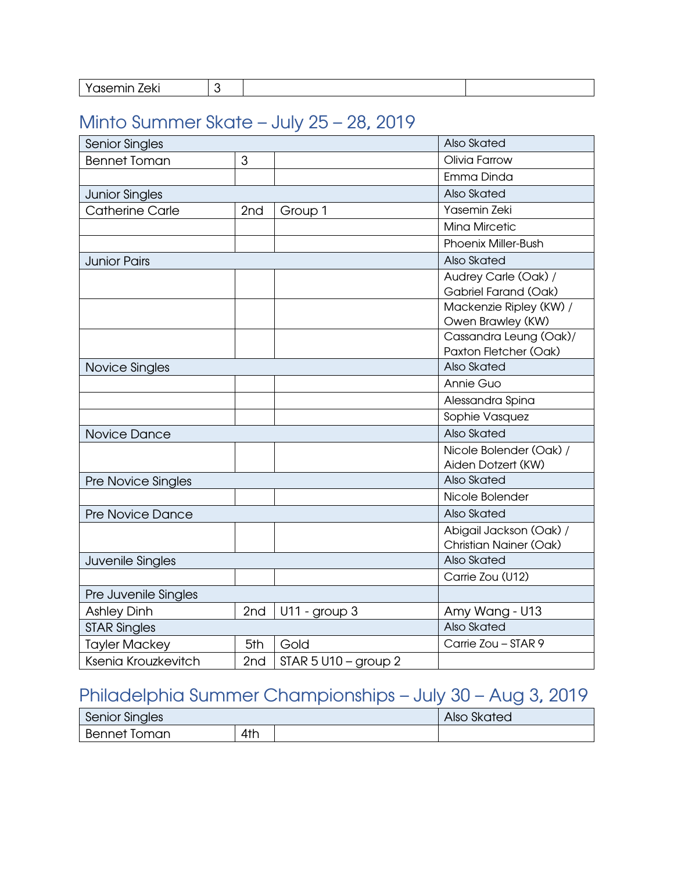| - - |
|-----|
|-----|

#### <span id="page-2-0"></span>Minto Summer Skate – July 25 – 28, 2019

| Senior Singles          |                 |                      | Also Skated                                              |
|-------------------------|-----------------|----------------------|----------------------------------------------------------|
| <b>Bennet Toman</b>     | 3               |                      | Olivia Farrow                                            |
|                         |                 |                      | Emma Dinda                                               |
| <b>Junior Singles</b>   |                 |                      | Also Skated                                              |
| <b>Catherine Carle</b>  | 2nd             | Group 1              | Yasemin Zeki                                             |
|                         |                 |                      | <b>Mina Mircetic</b>                                     |
|                         |                 |                      | <b>Phoenix Miller-Bush</b>                               |
| <b>Junior Pairs</b>     |                 |                      | Also Skated                                              |
|                         |                 |                      | Audrey Carle (Oak) /<br>Gabriel Farand (Oak)             |
|                         |                 |                      | Mackenzie Ripley (KW) /<br>Owen Brawley (KW)             |
|                         |                 |                      | Cassandra Leung (Oak)/<br>Paxton Fletcher (Oak)          |
| Novice Singles          |                 |                      | Also Skated                                              |
|                         |                 |                      | Annie Guo                                                |
|                         |                 |                      | Alessandra Spina                                         |
|                         |                 |                      | Sophie Vasquez                                           |
| Novice Dance            |                 |                      | Also Skated                                              |
|                         |                 |                      | Nicole Bolender (Oak) /<br>Aiden Dotzert (KW)            |
| Pre Novice Singles      |                 |                      | Also Skated                                              |
|                         |                 |                      | Nicole Bolender                                          |
| <b>Pre Novice Dance</b> |                 |                      | Also Skated                                              |
|                         |                 |                      | Abigail Jackson (Oak) /<br><b>Christian Nainer (Oak)</b> |
| Juvenile Singles        |                 |                      | Also Skated                                              |
|                         |                 |                      | Carrie Zou (U12)                                         |
| Pre Juvenile Singles    |                 |                      |                                                          |
| <b>Ashley Dinh</b>      | 2nd             | U11 - group 3        | Amy Wang - U13                                           |
| <b>STAR Singles</b>     |                 |                      | Also Skated                                              |
| <b>Tayler Mackey</b>    | 5th             | Gold                 | Carrie Zou - STAR 9                                      |
| Ksenia Krouzkevitch     | 2 <sub>nd</sub> | STAR 5 U10 - group 2 |                                                          |

## <span id="page-2-1"></span>Philadelphia Summer Championships – July 30 – Aug 3, 2019

| Senior Singles      |     |  | Also Skated |
|---------------------|-----|--|-------------|
| <b>Bennet Toman</b> | 4th |  |             |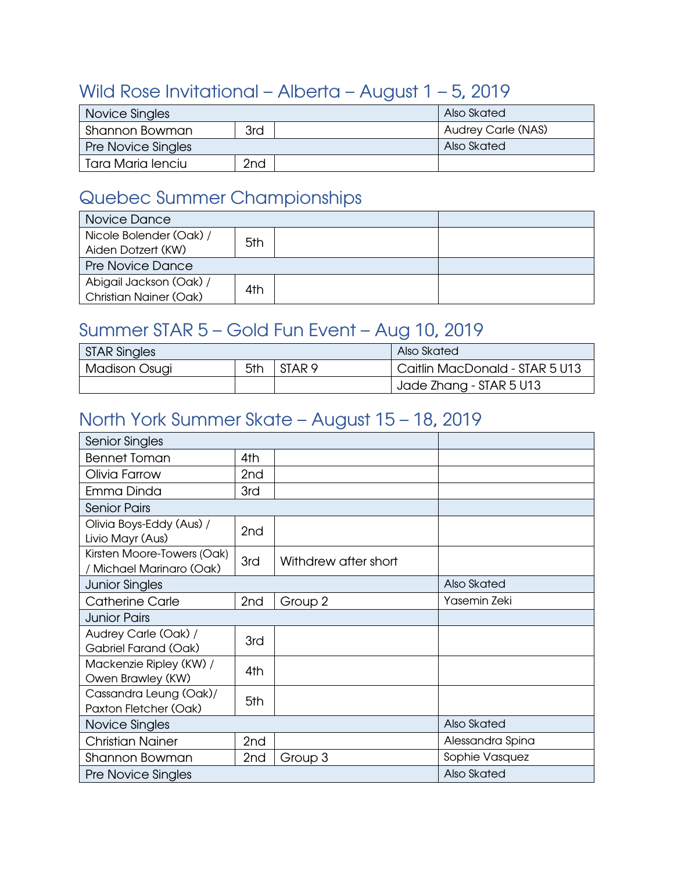#### <span id="page-3-0"></span>Wild Rose Invitational – Alberta – August 1 – 5, 2019

| Novice Singles            |                 | Also Skated               |
|---------------------------|-----------------|---------------------------|
| Shannon Bowman            | 3rd             | <b>Audrey Carle (NAS)</b> |
| <b>Pre Novice Singles</b> |                 | Also Skated               |
| Tara Maria lenciu         | 2 <sub>nd</sub> |                           |

#### <span id="page-3-1"></span>Quebec Summer Championships

| Novice Dance                                             |     |  |
|----------------------------------------------------------|-----|--|
| Nicole Bolender (Oak) /<br>Aiden Dotzert (KW)            | 5th |  |
| <b>Pre Novice Dance</b>                                  |     |  |
| Abigail Jackson (Oak) /<br><b>Christian Nainer (Oak)</b> | 4th |  |

## <span id="page-3-2"></span>Summer STAR 5 – Gold Fun Event – Aug 10, 2019

| <b>STAR Singles</b>                       |  |                                | Also Skated             |
|-------------------------------------------|--|--------------------------------|-------------------------|
| STAR <sub>9</sub><br>5th<br>Madison Osugi |  | Caitlin MacDonald - STAR 5 U13 |                         |
|                                           |  |                                | Jade Zhang - STAR 5 U13 |

#### <span id="page-3-3"></span>North York Summer Skate – August 15 – 18, 2019

| <b>Senior Singles</b>                                  |                 |                      |                  |
|--------------------------------------------------------|-----------------|----------------------|------------------|
| <b>Bennet Toman</b>                                    | 4th             |                      |                  |
| Olivia Farrow                                          | 2 <sub>nd</sub> |                      |                  |
| Emma Dinda                                             | 3rd             |                      |                  |
| <b>Senior Pairs</b>                                    |                 |                      |                  |
| Olivia Boys-Eddy (Aus) /<br>Livio Mayr (Aus)           | 2nd             |                      |                  |
| Kirsten Moore-Towers (Oak)<br>/ Michael Marinaro (Oak) | 3rd             | Withdrew after short |                  |
| <b>Junior Singles</b>                                  |                 |                      | Also Skated      |
| <b>Catherine Carle</b>                                 | 2nd             | Group 2              | Yasemin Zeki     |
| <b>Junior Pairs</b>                                    |                 |                      |                  |
| Audrey Carle (Oak) /<br>Gabriel Farand (Oak)           | 3rd             |                      |                  |
| Mackenzie Ripley (KW) /<br>Owen Brawley (KW)           | 4th             |                      |                  |
| Cassandra Leung (Oak)/<br>Paxton Fletcher (Oak)        | 5th             |                      |                  |
| Novice Singles                                         |                 |                      | Also Skated      |
| <b>Christian Nainer</b>                                | 2nd             |                      | Alessandra Spina |
| Shannon Bowman                                         | 2 <sub>nd</sub> | Group 3              | Sophie Vasquez   |
| <b>Pre Novice Singles</b>                              |                 |                      | Also Skated      |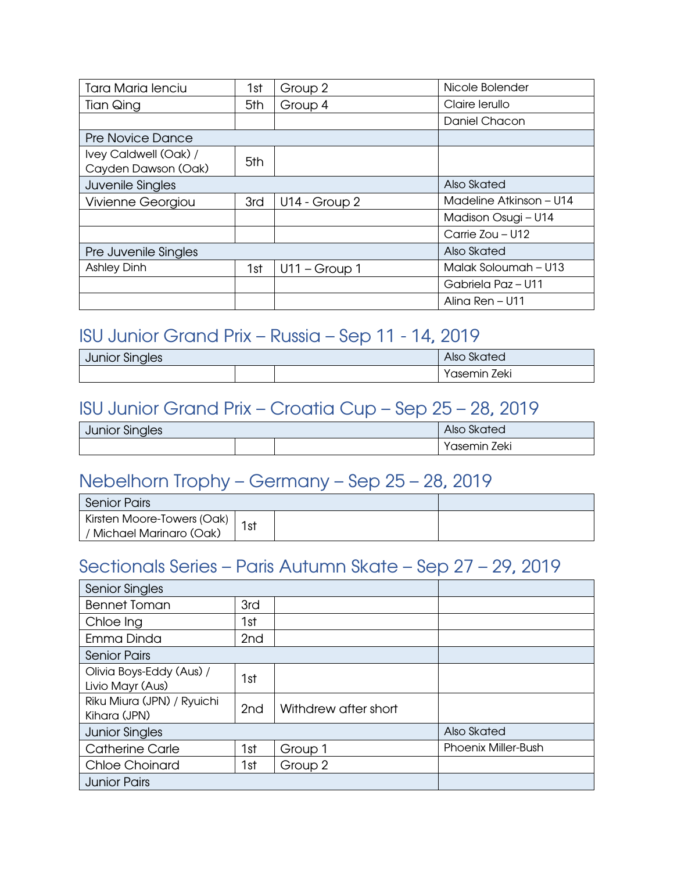| <b>Tara Maria lenciu</b> | 1st | Group 2        | Nicole Bolender         |
|--------------------------|-----|----------------|-------------------------|
| Tian Qing                | 5th | Group 4        | Claire lerullo          |
|                          |     |                | Daniel Chacon           |
| <b>Pre Novice Dance</b>  |     |                |                         |
| Ivey Caldwell (Oak) /    | 5th |                |                         |
| Cayden Dawson (Oak)      |     |                |                         |
| Juvenile Singles         |     |                | Also Skated             |
| <b>Vivienne Georgiou</b> | 3rd | U14 - Group 2  | Madeline Atkinson - U14 |
|                          |     |                | Madison Osugi - U14     |
|                          |     |                | Carrie Zou - U12        |
| Pre Juvenile Singles     |     |                | Also Skated             |
| <b>Ashley Dinh</b>       | 1st | $U11 - Group1$ | Malak Soloumah - U13    |
|                          |     |                | Gabriela Paz - U11      |
|                          |     |                | Alina Ren - U11         |

#### <span id="page-4-0"></span>ISU Junior Grand Prix – Russia – Sep 11 - 14, 2019

| <b>Junior Singles</b> |  |  | <b>Also Skated</b> |
|-----------------------|--|--|--------------------|
|                       |  |  | Zeki<br>'asemın    |

#### <span id="page-4-1"></span>ISU Junior Grand Prix – Croatia Cup – Sep 25 – 28, 2019

| <b>Junior Singles</b> |  |  | Skated<br>Also    |
|-----------------------|--|--|-------------------|
|                       |  |  | Zeki<br>'asemin . |

#### <span id="page-4-2"></span>Nebelhorn Trophy – Germany – Sep 25 – 28, 2019

| <b>Senior Pairs</b>                                    |     |  |  |
|--------------------------------------------------------|-----|--|--|
| Kirsten Moore-Towers (Oak)<br>/ Michael Marinaro (Oak) | 1st |  |  |

#### <span id="page-4-3"></span>Sectionals Series – Paris Autumn Skate – Sep 27 – 29, 2019

| <b>Senior Singles</b>                        |                 |                      |                            |
|----------------------------------------------|-----------------|----------------------|----------------------------|
| <b>Bennet Toman</b>                          | 3rd             |                      |                            |
| Chloe Ing                                    | 1st             |                      |                            |
| Emma Dinda                                   | 2 <sub>nd</sub> |                      |                            |
| <b>Senior Pairs</b>                          |                 |                      |                            |
| Olivia Boys-Eddy (Aus) /<br>Livio Mayr (Aus) | 1st             |                      |                            |
| Riku Miura (JPN) / Ryuichi<br>Kihara (JPN)   | 2 <sub>nd</sub> | Withdrew after short |                            |
| <b>Junior Singles</b>                        |                 |                      | Also Skated                |
| <b>Catherine Carle</b>                       | 1st             | Group 1              | <b>Phoenix Miller-Bush</b> |
| <b>Chloe Choinard</b>                        | 1st             | Group 2              |                            |
| <b>Junior Pairs</b>                          |                 |                      |                            |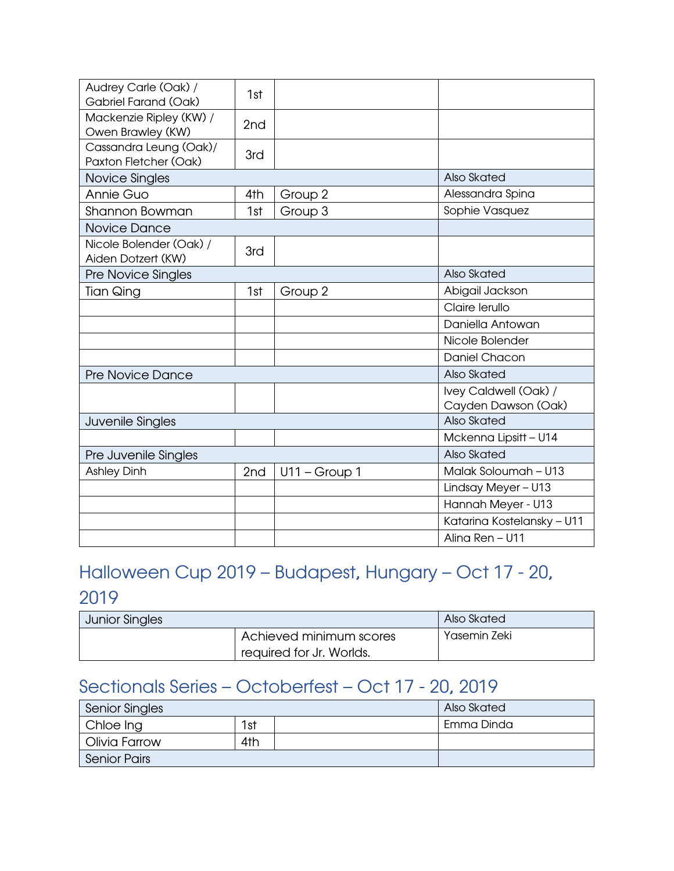| Audrey Carle (Oak) /                            | 1st             |                 |                                              |
|-------------------------------------------------|-----------------|-----------------|----------------------------------------------|
| Gabriel Farand (Oak)                            |                 |                 |                                              |
| Mackenzie Ripley (KW) /<br>Owen Brawley (KW)    | 2 <sub>nd</sub> |                 |                                              |
| Cassandra Leung (Oak)/<br>Paxton Fletcher (Oak) | 3rd             |                 |                                              |
| Novice Singles                                  |                 |                 | Also Skated                                  |
| <b>Annie Guo</b>                                | 4th             | Group 2         | Alessandra Spina                             |
| Shannon Bowman                                  | 1st             | Group 3         | Sophie Vasquez                               |
| Novice Dance                                    |                 |                 |                                              |
| Nicole Bolender (Oak) /<br>Aiden Dotzert (KW)   | 3rd             |                 |                                              |
| Pre Novice Singles                              |                 |                 | Also Skated                                  |
| <b>Tian Qing</b>                                | 1st             | Group 2         | Abigail Jackson                              |
|                                                 |                 |                 | Claire lerullo                               |
|                                                 |                 |                 | Daniella Antowan                             |
|                                                 |                 |                 | Nicole Bolender                              |
|                                                 |                 |                 | <b>Daniel Chacon</b>                         |
| <b>Pre Novice Dance</b>                         |                 | Also Skated     |                                              |
|                                                 |                 |                 | Ivey Caldwell (Oak) /<br>Cayden Dawson (Oak) |
| Juvenile Singles                                |                 |                 | Also Skated                                  |
|                                                 |                 |                 | Mckenna Lipsitt - U14                        |
| Pre Juvenile Singles                            |                 |                 | Also Skated                                  |
| <b>Ashley Dinh</b>                              | 2nd             | $U11 - Group 1$ | Malak Soloumah - U13                         |
|                                                 |                 |                 | Lindsay Meyer - U13                          |
|                                                 |                 |                 | Hannah Meyer - U13                           |
|                                                 |                 |                 | Katarina Kostelansky - U11                   |
|                                                 |                 |                 | Alina Ren - U11                              |

## <span id="page-5-0"></span>Halloween Cup 2019 – Budapest, Hungary – Oct 17 - 20,

#### 2019

| <b>Junior Singles</b> |                          | Also Skated  |
|-----------------------|--------------------------|--------------|
|                       | Achieved minimum scores  | Yasemin Zeki |
|                       | required for Jr. Worlds. |              |

#### <span id="page-5-1"></span>Sectionals Series – Octoberfest – Oct 17 - 20, 2019

| <b>Senior Singles</b> |     |  | Also Skated |
|-----------------------|-----|--|-------------|
| Chloe Ing             | 1st |  | Emma Dinda  |
| Olivia Farrow         | 4th |  |             |
| <b>Senior Pairs</b>   |     |  |             |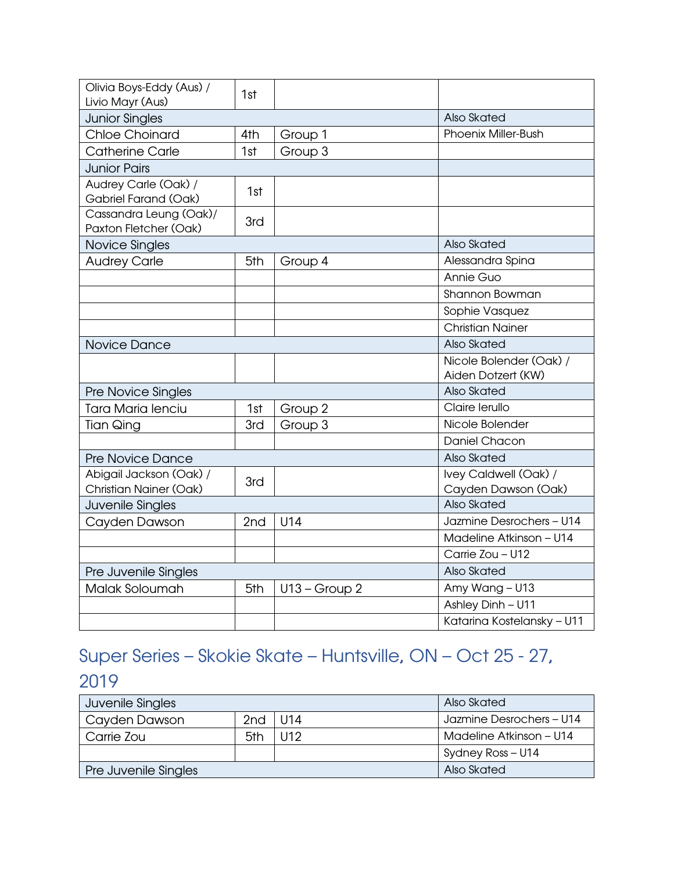| Olivia Boys-Eddy (Aus) /<br>Livio Mayr (Aus)      | 1st |                 |                                               |
|---------------------------------------------------|-----|-----------------|-----------------------------------------------|
| <b>Junior Singles</b>                             |     |                 | Also Skated                                   |
| <b>Chloe Choinard</b>                             | 4th | Group 1         | <b>Phoenix Miller-Bush</b>                    |
| <b>Catherine Carle</b>                            | 1st | Group 3         |                                               |
| <b>Junior Pairs</b>                               |     |                 |                                               |
| Audrey Carle (Oak) /<br>Gabriel Farand (Oak)      | 1st |                 |                                               |
| Cassandra Leung (Oak)/<br>Paxton Fletcher (Oak)   | 3rd |                 |                                               |
| Novice Singles                                    |     |                 | Also Skated                                   |
| <b>Audrey Carle</b>                               | 5th | Group 4         | Alessandra Spina                              |
|                                                   |     |                 | Annie Guo                                     |
|                                                   |     |                 | Shannon Bowman                                |
|                                                   |     |                 | Sophie Vasquez                                |
|                                                   |     |                 | <b>Christian Nainer</b>                       |
| Novice Dance                                      |     |                 | Also Skated                                   |
|                                                   |     |                 | Nicole Bolender (Oak) /<br>Aiden Dotzert (KW) |
| Pre Novice Singles                                |     |                 | Also Skated                                   |
| Tara Maria lenciu                                 | 1st | Group 2         | Claire lerullo                                |
| <b>Tian Qing</b>                                  | 3rd | Group 3         | Nicole Bolender                               |
|                                                   |     |                 | Daniel Chacon                                 |
| <b>Pre Novice Dance</b>                           |     |                 | Also Skated                                   |
| Abigail Jackson (Oak) /<br>Christian Nainer (Oak) | 3rd |                 | Ivey Caldwell (Oak) /<br>Cayden Dawson (Oak)  |
| Juvenile Singles                                  |     |                 | Also Skated                                   |
| Cayden Dawson                                     | 2nd | U14             | Jazmine Desrochers - U14                      |
|                                                   |     |                 | Madeline Atkinson - U14                       |
|                                                   |     |                 | Carrie Zou - U12                              |
| Pre Juvenile Singles                              |     |                 | Also Skated                                   |
| Malak Soloumah                                    | 5th | $U13 - Group 2$ | Amy Wang - U13                                |
|                                                   |     |                 | Ashley Dinh - U11                             |
|                                                   |     |                 | Katarina Kostelansky - U11                    |

## <span id="page-6-0"></span>Super Series – Skokie Skate – Huntsville, ON – Oct 25 - 27,

#### 2019

| Juvenile Singles     |                 |      | Also Skated              |
|----------------------|-----------------|------|--------------------------|
| Cayden Dawson        | 2 <sub>nd</sub> | U14  | Jazmine Desrochers - U14 |
| Carrie Zou           | 5th             | 1112 | Madeline Atkinson – U14  |
|                      |                 |      | Sydney Ross - U14        |
| Pre Juvenile Singles |                 |      | Also Skated              |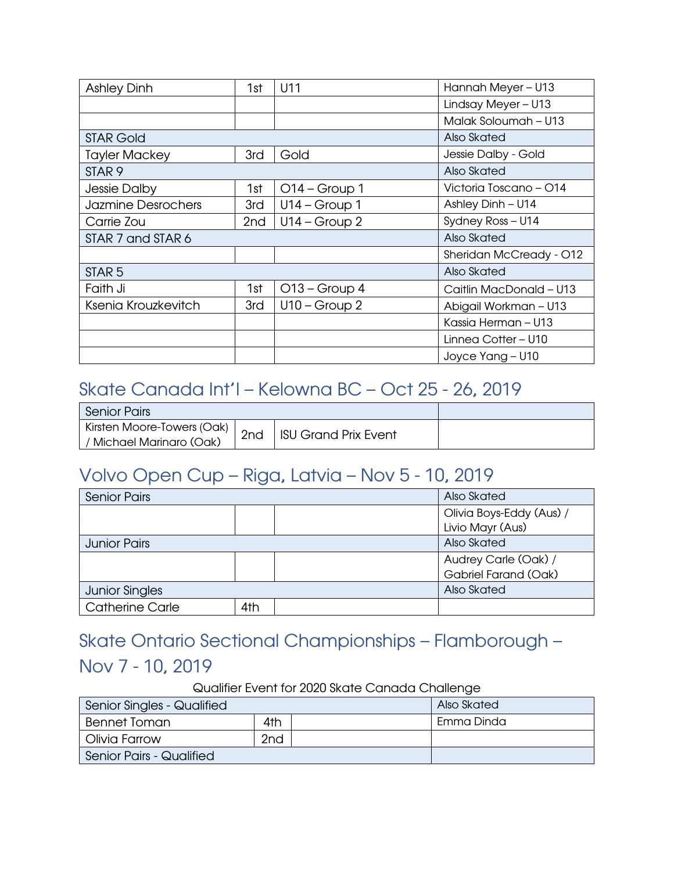| <b>Ashley Dinh</b>   | 1st | U11             | Hannah Meyer - U13      |
|----------------------|-----|-----------------|-------------------------|
|                      |     |                 | Lindsay Meyer - U13     |
|                      |     |                 | Malak Soloumah - U13    |
| <b>STAR Gold</b>     |     |                 | Also Skated             |
| <b>Tayler Mackey</b> | 3rd | Gold            | Jessie Dalby - Gold     |
| STAR <sub>9</sub>    |     |                 | Also Skated             |
| <b>Jessie Dalby</b>  | 1st | $O14 - Group 1$ | Victoria Toscano - 014  |
| Jazmine Desrochers   | 3rd | $U14 - Group 1$ | Ashley Dinh - U14       |
| Carrie Zou           | 2nd | $U14 - Group 2$ | Sydney Ross - U14       |
| STAR 7 and STAR 6    |     |                 | Also Skated             |
|                      |     |                 | Sheridan McCready - 012 |
| STAR <sub>5</sub>    |     |                 | Also Skated             |
| Faith Ji             | 1st | $O13 - Group 4$ | Caitlin MacDonald - U13 |
| Ksenia Krouzkevitch  | 3rd | $U10 - Group 2$ | Abigail Workman - U13   |
|                      |     |                 | Kassia Herman - U13     |
|                      |     |                 | Linnea Cotter - U10     |
|                      |     |                 | Joyce Yang - U10        |

#### <span id="page-7-0"></span>Skate Canada Int'l – Kelowna BC – Oct 25 - 26, 2019

| Senior Pairs                                           |     |                             |  |
|--------------------------------------------------------|-----|-----------------------------|--|
| Kirsten Moore-Towers (Oak)<br>/ Michael Marinaro (Oak) | 2nd | <b>ISU Grand Prix Event</b> |  |

#### <span id="page-7-1"></span>Volvo Open Cup – Riga, Latvia – Nov 5 - 10, 2019

| <b>Senior Pairs</b>    |     |  | Also Skated                                  |
|------------------------|-----|--|----------------------------------------------|
|                        |     |  | Olivia Boys-Eddy (Aus) /<br>Livio Mayr (Aus) |
| <b>Junior Pairs</b>    |     |  | Also Skated                                  |
|                        |     |  | Audrey Carle (Oak) /                         |
|                        |     |  | Gabriel Farand (Oak)                         |
| <b>Junior Singles</b>  |     |  | Also Skated                                  |
| <b>Catherine Carle</b> | 4th |  |                                              |

## <span id="page-7-2"></span>Skate Ontario Sectional Championships – Flamborough –

#### Nov 7 - 10, 2019

Qualifier Event for 2020 Skate Canada Challenge

| Senior Singles - Qualified |                 | Also Skated |
|----------------------------|-----------------|-------------|
| <b>Bennet Toman</b>        | 4th             | Emma Dinda  |
| Olivia Farrow              | 2 <sub>nd</sub> |             |
| Senior Pairs - Qualified   |                 |             |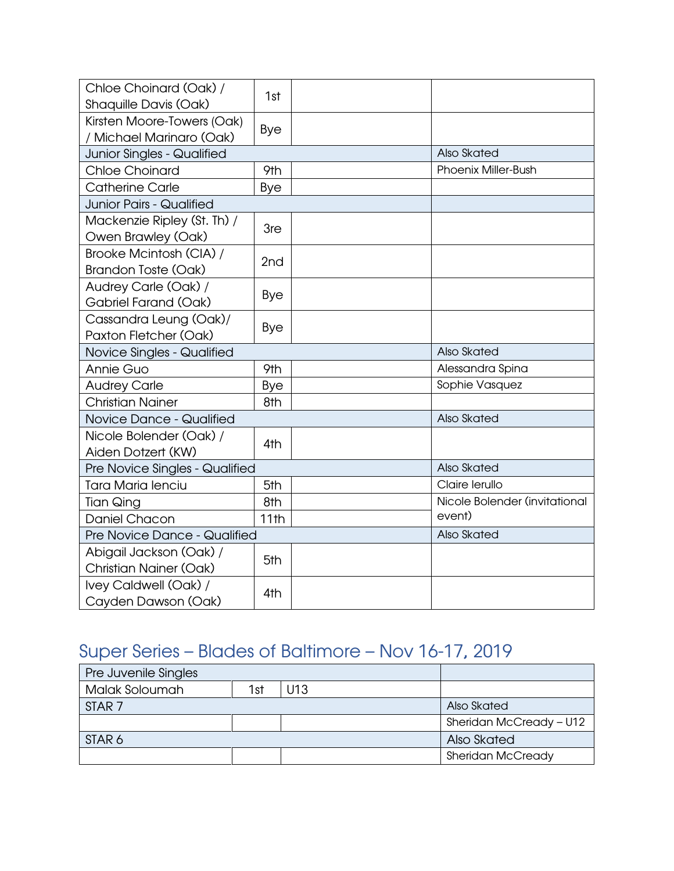| Chloe Choinard (Oak) /<br>Shaquille Davis (Oak)          | 1st        |                               |
|----------------------------------------------------------|------------|-------------------------------|
| Kirsten Moore-Towers (Oak)<br>/ Michael Marinaro (Oak)   | Bye        |                               |
| <b>Junior Singles - Qualified</b>                        |            | Also Skated                   |
| <b>Chloe Choinard</b>                                    | 9th        | <b>Phoenix Miller-Bush</b>    |
| <b>Catherine Carle</b>                                   | Bye        |                               |
| <b>Junior Pairs - Qualified</b>                          |            |                               |
| Mackenzie Ripley (St. Th) /<br>Owen Brawley (Oak)        | 3re        |                               |
| Brooke Mcintosh (CIA) /<br><b>Brandon Toste (Oak)</b>    | 2nd        |                               |
| Audrey Carle (Oak) /<br>Gabriel Farand (Oak)             | <b>Bye</b> |                               |
| Cassandra Leung (Oak)/<br>Paxton Fletcher (Oak)          | Bye        |                               |
| Novice Singles - Qualified                               |            | Also Skated                   |
| Annie Guo                                                | 9th        | Alessandra Spina              |
| <b>Audrey Carle</b>                                      | <b>Bye</b> | Sophie Vasquez                |
| <b>Christian Nainer</b>                                  | 8th        |                               |
| Novice Dance - Qualified                                 |            | Also Skated                   |
| Nicole Bolender (Oak) /<br>Aiden Dotzert (KW)            | 4th        |                               |
| Pre Novice Singles - Qualified                           |            | Also Skated                   |
| Tara Maria lenciu                                        | 5th        | Claire lerullo                |
| Tian Qing                                                | 8th        | Nicole Bolender (invitational |
| Daniel Chacon                                            | 11th       | event)                        |
| Pre Novice Dance - Qualified                             |            | Also Skated                   |
| Abigail Jackson (Oak) /<br><b>Christian Nainer (Oak)</b> | 5th        |                               |
| Ivey Caldwell (Oak) /<br>Cayden Dawson (Oak)             | 4th        |                               |

## <span id="page-8-0"></span>Super Series – Blades of Baltimore – Nov 16-17, 2019

| Pre Juvenile Singles |     |     |                          |
|----------------------|-----|-----|--------------------------|
| Malak Soloumah       | 1st | U13 |                          |
| STAR <sub>7</sub>    |     |     | Also Skated              |
|                      |     |     | Sheridan McCready - U12  |
| STAR 6               |     |     | Also Skated              |
|                      |     |     | <b>Sheridan McCready</b> |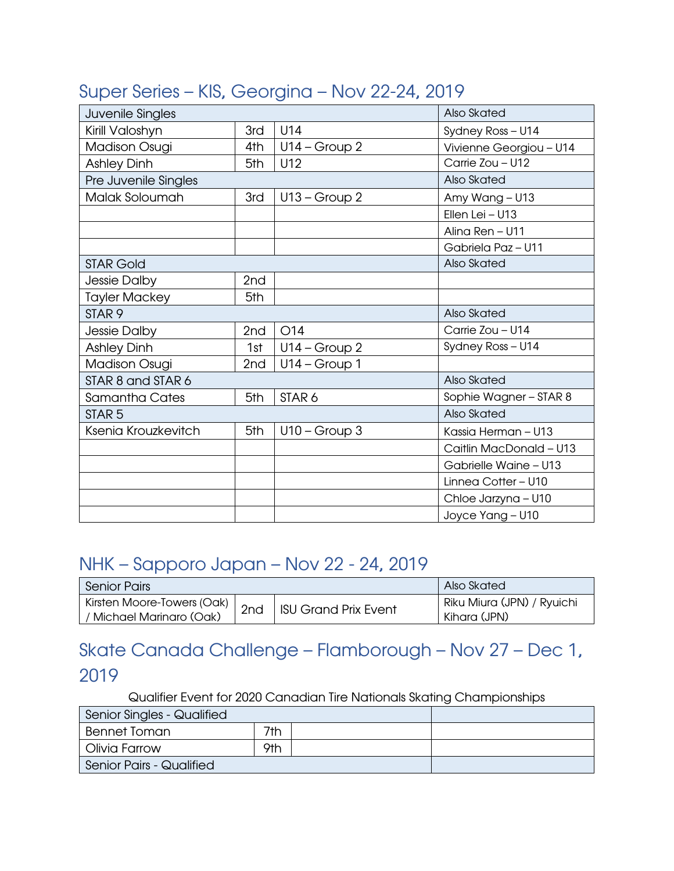#### <span id="page-9-0"></span>Super Series – KIS, Georgina – Nov 22-24, 2019

| Juvenile Singles      |                 |                   | Also Skated             |
|-----------------------|-----------------|-------------------|-------------------------|
| Kirill Valoshyn       | 3rd             | U14               | Sydney Ross - U14       |
| <b>Madison Osugi</b>  | 4th             | $U14 - Group 2$   | Vivienne Georgiou - U14 |
| <b>Ashley Dinh</b>    | 5th             | U12               | Carrie Zou - U12        |
| Pre Juvenile Singles  |                 |                   | Also Skated             |
| Malak Soloumah        | 3rd             | $U13 - Group 2$   | Amy Wang - U13          |
|                       |                 |                   | Ellen Lei - U13         |
|                       |                 |                   | Alina Ren - U11         |
|                       |                 |                   | Gabriela Paz - U11      |
| <b>STAR Gold</b>      |                 |                   | Also Skated             |
| Jessie Dalby          | 2nd             |                   |                         |
| <b>Tayler Mackey</b>  | 5th             |                   |                         |
| STAR <sub>9</sub>     |                 |                   | Also Skated             |
| Jessie Dalby          | 2 <sub>nd</sub> | O14               | Carrie Zou - U14        |
| <b>Ashley Dinh</b>    | 1st             | $U14 - Group 2$   | Sydney Ross - U14       |
| <b>Madison Osugi</b>  | 2nd             | $U14 - Group 1$   |                         |
| STAR 8 and STAR 6     |                 |                   | Also Skated             |
| <b>Samantha Cates</b> | 5th             | STAR <sub>6</sub> | Sophie Wagner - STAR 8  |
| STAR <sub>5</sub>     |                 |                   | Also Skated             |
| Ksenia Krouzkevitch   | 5th             | $U10 - Group3$    | Kassia Herman - U13     |
|                       |                 |                   | Caitlin MacDonald - U13 |
|                       |                 |                   | Gabrielle Waine - U13   |
|                       |                 |                   | Linnea Cotter - U10     |
|                       |                 |                   | Chloe Jarzyna - U10     |
|                       |                 |                   | Joyce Yang - U10        |

#### <span id="page-9-1"></span>NHK – Sapporo Japan – Nov 22 - 24, 2019

| <b>Senior Pairs</b>                                    |     |                             | Also Skated                                |
|--------------------------------------------------------|-----|-----------------------------|--------------------------------------------|
| Kirsten Moore-Towers (Oak)<br>/ Michael Marinaro (Oak) | 2nd | <b>ISU Grand Prix Event</b> | Riku Miura (JPN) / Ryuichi<br>Kihara (JPN) |

## <span id="page-9-2"></span>Skate Canada Challenge – Flamborough – Nov 27 – Dec 1, 2019

Qualifier Event for 2020 Canadian Tire Nationals Skating Championships

| Senior Singles - Qualified |     |  |
|----------------------------|-----|--|
| Bennet Toman               | 7th |  |
| Olivia Farrow              | 9th |  |
| Senior Pairs - Qualified   |     |  |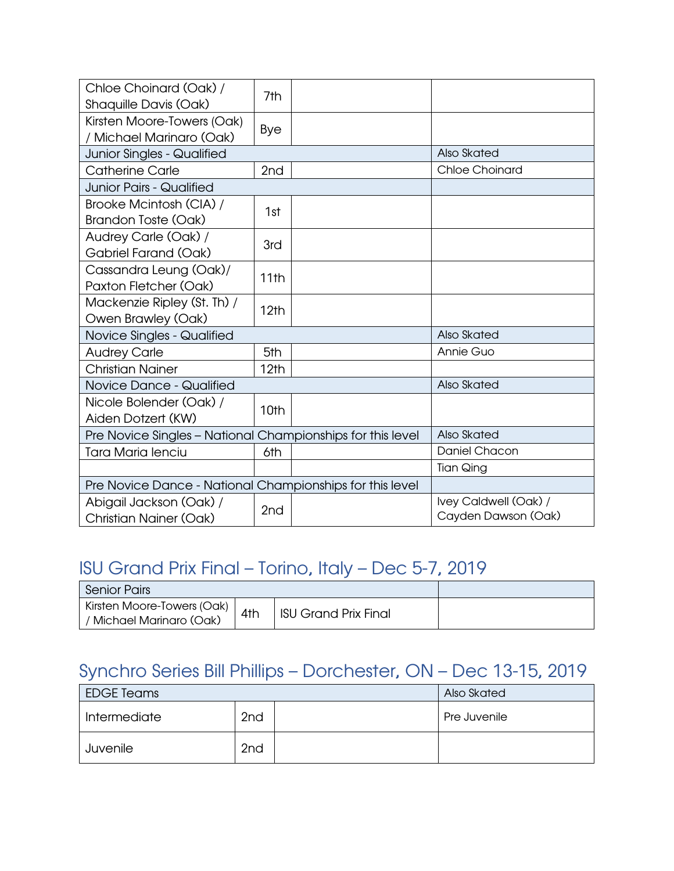| Chloe Choinard (Oak) /<br>Shaquille Davis (Oak)            | 7th  |                                              |
|------------------------------------------------------------|------|----------------------------------------------|
| Kirsten Moore-Towers (Oak)<br>/ Michael Marinaro (Oak)     | Bye  |                                              |
| Junior Singles - Qualified                                 |      | Also Skated                                  |
| <b>Catherine Carle</b>                                     | 2nd  | <b>Chloe Choinard</b>                        |
| <b>Junior Pairs - Qualified</b>                            |      |                                              |
| Brooke Mcintosh (CIA) /<br><b>Brandon Toste (Oak)</b>      | 1st  |                                              |
| Audrey Carle (Oak) /<br>Gabriel Farand (Oak)               | 3rd  |                                              |
| Cassandra Leung (Oak)/<br>Paxton Fletcher (Oak)            | 11th |                                              |
| Mackenzie Ripley (St. Th) /<br>Owen Brawley (Oak)          | 12th |                                              |
| Novice Singles - Qualified                                 |      | Also Skated                                  |
| <b>Audrey Carle</b>                                        | 5th  | Annie Guo                                    |
| <b>Christian Nainer</b>                                    | 12th |                                              |
| Novice Dance - Qualified                                   |      | Also Skated                                  |
| Nicole Bolender (Oak) /<br>Aiden Dotzert (KW)              | 10th |                                              |
| Pre Novice Singles - National Championships for this level |      | Also Skated                                  |
| <b>Tara Maria lenciu</b>                                   | 6th  | <b>Daniel Chacon</b>                         |
|                                                            |      | <b>Tian Qing</b>                             |
| Pre Novice Dance - National Championships for this level   |      |                                              |
| Abigail Jackson (Oak) /<br><b>Christian Nainer (Oak)</b>   | 2nd  | Ivey Caldwell (Oak) /<br>Cayden Dawson (Oak) |

## <span id="page-10-0"></span>ISU Grand Prix Final – Torino, Italy – Dec 5-7, 2019

| <b>Senior Pairs</b>                                    |     |                             |  |
|--------------------------------------------------------|-----|-----------------------------|--|
| Kirsten Moore-Towers (Oak)<br>/ Michael Marinaro (Oak) | 4th | <b>ISU Grand Prix Final</b> |  |

#### <span id="page-10-1"></span>Synchro Series Bill Phillips – Dorchester, ON – Dec 13-15, 2019

| <b>EDGE Teams</b>               |                 | Also Skated  |
|---------------------------------|-----------------|--------------|
| 2 <sub>nd</sub><br>Intermediate |                 | Pre Juvenile |
| Juvenile                        | 2 <sub>nd</sub> |              |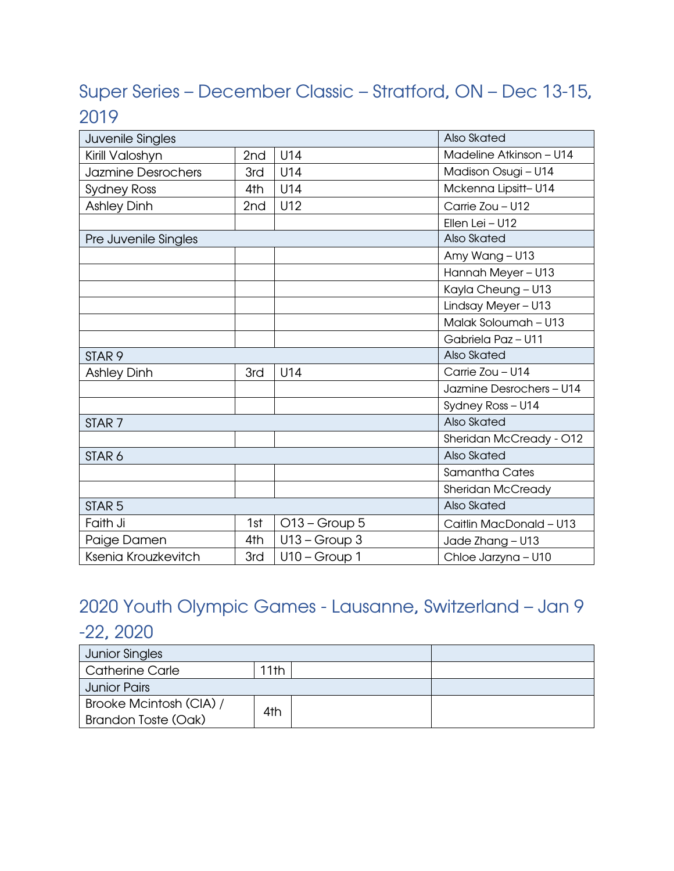## <span id="page-11-0"></span>Super Series – December Classic – Stratford, ON – Dec 13-15, 2019

| Juvenile Singles     |     |                 | Also Skated              |
|----------------------|-----|-----------------|--------------------------|
| Kirill Valoshyn      | 2nd | U14             | Madeline Atkinson - U14  |
| Jazmine Desrochers   | 3rd | U14             | Madison Osugi - U14      |
| <b>Sydney Ross</b>   | 4th | U14             | Mckenna Lipsitt- U14     |
| <b>Ashley Dinh</b>   | 2nd | U12             | Carrie Zou - U12         |
|                      |     |                 | Ellen Lei - U12          |
| Pre Juvenile Singles |     |                 | Also Skated              |
|                      |     |                 | Amy Wang - U13           |
|                      |     |                 | Hannah Meyer-U13         |
|                      |     |                 | Kayla Cheung - U13       |
|                      |     |                 | Lindsay Meyer - U13      |
|                      |     |                 | Malak Soloumah - U13     |
|                      |     |                 | Gabriela Paz - U11       |
| STAR <sub>9</sub>    |     |                 | Also Skated              |
| <b>Ashley Dinh</b>   | 3rd | U14             | Carrie Zou - U14         |
|                      |     |                 | Jazmine Desrochers - U14 |
|                      |     |                 | Sydney Ross - U14        |
| STAR <sub>7</sub>    |     |                 | Also Skated              |
|                      |     |                 | Sheridan McCready - 012  |
| STAR <sub>6</sub>    |     |                 | Also Skated              |
|                      |     |                 | <b>Samantha Cates</b>    |
|                      |     |                 | <b>Sheridan McCready</b> |
| STAR <sub>5</sub>    |     |                 | Also Skated              |
| Faith Ji             | 1st | $O13 - Group 5$ | Caitlin MacDonald - U13  |
| Paige Damen          | 4th | $U13 - Group 3$ | Jade Zhang - U13         |
| Ksenia Krouzkevitch  | 3rd | $U10 - Group 1$ | Chloe Jarzyna - U10      |

## <span id="page-11-1"></span>2020 Youth Olympic Games - Lausanne, Switzerland – Jan 9 -22, 2020

| <b>Junior Singles</b>   |      |  |
|-------------------------|------|--|
| Catherine Carle         | 11th |  |
| <b>Junior Pairs</b>     |      |  |
| Brooke Mcintosh (CIA) / | 4th  |  |
| Brandon Toste (Oak)     |      |  |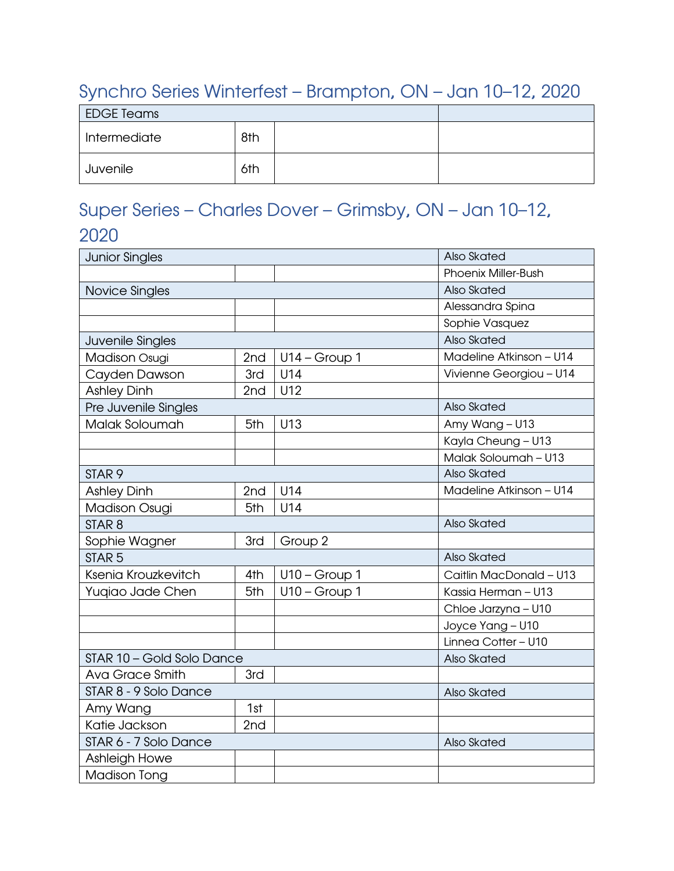#### <span id="page-12-0"></span>Synchro Series Winterfest – Brampton, ON – Jan 10–12, 2020

| <b>EDGE Teams</b>   |     |  |  |
|---------------------|-----|--|--|
| 8th<br>Intermediate |     |  |  |
| Juvenile            | 6th |  |  |

## <span id="page-12-1"></span>Super Series – Charles Dover – Grimsby, ON – Jan 10–12, 2020

| <b>Junior Singles</b>     |                 | Also Skated     |                         |
|---------------------------|-----------------|-----------------|-------------------------|
|                           |                 |                 | Phoenix Miller-Bush     |
| Novice Singles            |                 |                 | Also Skated             |
|                           |                 |                 | Alessandra Spina        |
|                           |                 |                 | Sophie Vasquez          |
| Juvenile Singles          |                 |                 | Also Skated             |
| Madison Osugi             | 2 <sub>nd</sub> | $U14 - Group 1$ | Madeline Atkinson - U14 |
| Cayden Dawson             | 3rd             | U14             | Vivienne Georgiou - U14 |
| <b>Ashley Dinh</b>        | 2nd             | U12             |                         |
| Pre Juvenile Singles      |                 |                 | Also Skated             |
| Malak Soloumah            | 5th             | U13             | Amy Wang - U13          |
|                           |                 |                 | Kayla Cheung - U13      |
|                           |                 |                 | Malak Soloumah - U13    |
| STAR <sub>9</sub>         |                 |                 | Also Skated             |
| <b>Ashley Dinh</b>        | 2nd             | U14             | Madeline Atkinson - U14 |
| <b>Madison Osugi</b>      | 5th             | U14             |                         |
| STAR <sub>8</sub>         |                 |                 | Also Skated             |
| Sophie Wagner             | 3rd             | Group 2         |                         |
| STAR <sub>5</sub>         |                 |                 | Also Skated             |
| Ksenia Krouzkevitch       | 4th             | $U10 - Group 1$ | Caitlin MacDonald - U13 |
| Yuqiao Jade Chen          | 5th             | $U10 - Group 1$ | Kassia Herman - U13     |
|                           |                 |                 | Chloe Jarzyna - U10     |
|                           |                 |                 | Joyce Yang - U10        |
|                           |                 |                 | Linnea Cotter - U10     |
| STAR 10 - Gold Solo Dance |                 |                 | Also Skated             |
| <b>Ava Grace Smith</b>    | 3rd             |                 |                         |
| STAR 8 - 9 Solo Dance     |                 |                 | Also Skated             |
| Amy Wang                  | 1st             |                 |                         |
| Katie Jackson             | 2nd             |                 |                         |
| STAR 6 - 7 Solo Dance     |                 |                 | Also Skated             |
| Ashleigh Howe             |                 |                 |                         |
| <b>Madison Tong</b>       |                 |                 |                         |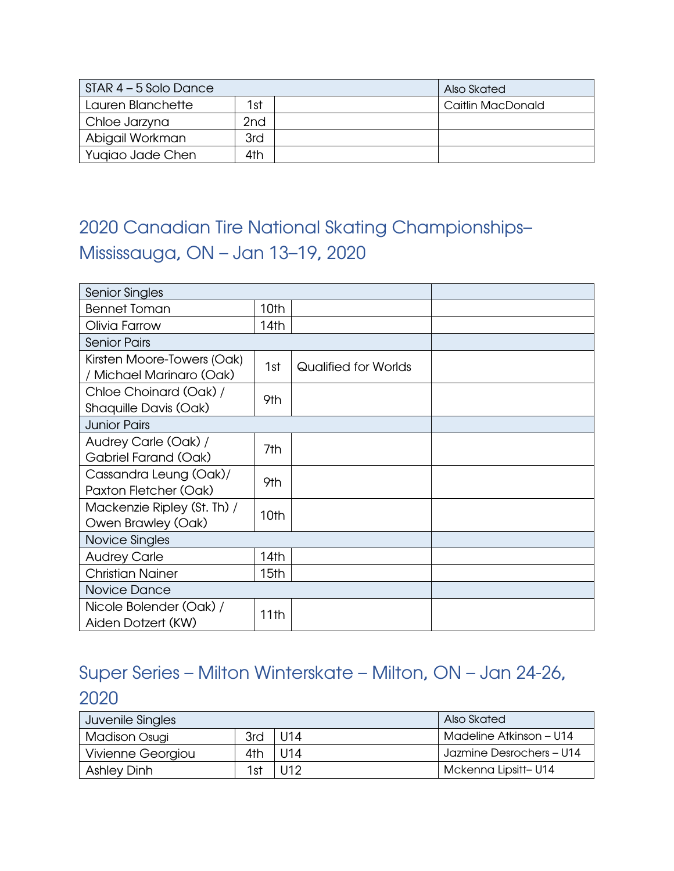| STAR 4 - 5 Solo Dance |     | Also Skated       |
|-----------------------|-----|-------------------|
| Lauren Blanchette     | 1st | Caitlin MacDonald |
| Chloe Jarzyna         | 2nd |                   |
| Abigail Workman       | 3rd |                   |
| Yugiao Jade Chen      | 4th |                   |

## <span id="page-13-0"></span>2020 Canadian Tire National Skating Championships– Mississauga, ON – Jan 13–19, 2020

| <b>Senior Singles</b>                                |      |                      |  |  |  |
|------------------------------------------------------|------|----------------------|--|--|--|
| <b>Bennet Toman</b>                                  | 10th |                      |  |  |  |
| Olivia Farrow                                        | 14th |                      |  |  |  |
| <b>Senior Pairs</b>                                  |      |                      |  |  |  |
| Kirsten Moore-Towers (Oak)<br>Michael Marinaro (Oak) | 1st  | Qualified for Worlds |  |  |  |
| Chloe Choinard (Oak) /<br>Shaquille Davis (Oak)      | 9th  |                      |  |  |  |
| <b>Junior Pairs</b>                                  |      |                      |  |  |  |
| Audrey Carle (Oak) /<br>Gabriel Farand (Oak)         | 7th  |                      |  |  |  |
| Cassandra Leung (Oak)/<br>Paxton Fletcher (Oak)      | 9th  |                      |  |  |  |
| Mackenzie Ripley (St. Th) /<br>Owen Brawley (Oak)    | 10th |                      |  |  |  |
| Novice Singles                                       |      |                      |  |  |  |
| <b>Audrey Carle</b>                                  | 14th |                      |  |  |  |
| <b>Christian Nainer</b>                              | 15th |                      |  |  |  |
| Novice Dance                                         |      |                      |  |  |  |
| Nicole Bolender (Oak) /<br>Aiden Dotzert (KW)        | 11th |                      |  |  |  |

## <span id="page-13-1"></span>Super Series – Milton Winterskate – Milton, ON – Jan 24-26, 2020

| Juvenile Singles   |     |            | Also Skated              |
|--------------------|-----|------------|--------------------------|
| Madison Osugi      | 3rd | $ $ U14    | Madeline Atkinson – U14  |
| Vivienne Georgiou  | 4th | l IJ14     | Jazmine Desrochers - U14 |
| <b>Ashley Dinh</b> | 1st | <b>U12</b> | Mckenna Lipsitt-U14      |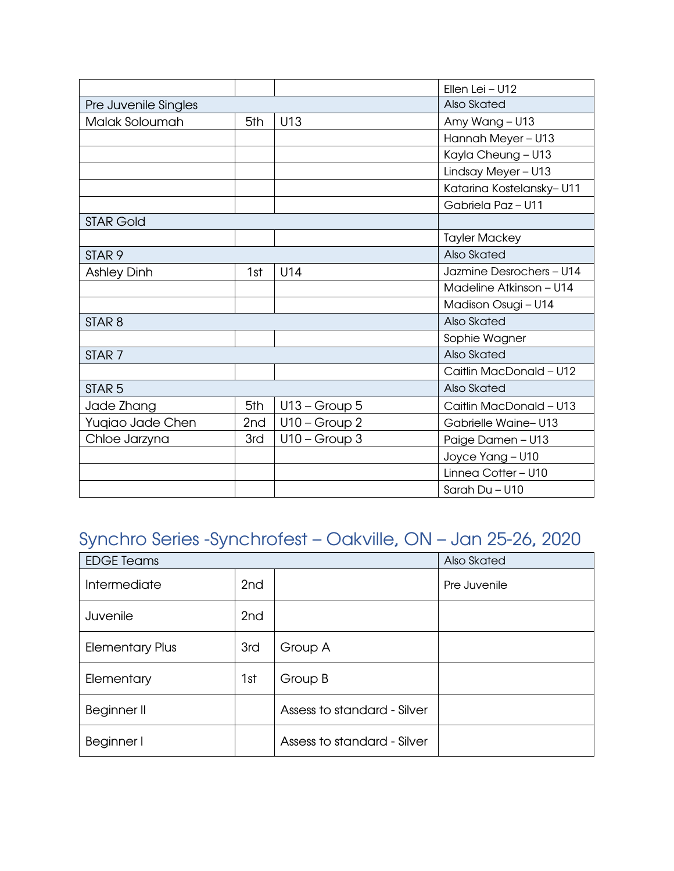|                      |                 |                 | Ellen Lei - U12           |  |
|----------------------|-----------------|-----------------|---------------------------|--|
| Pre Juvenile Singles |                 |                 | Also Skated               |  |
| Malak Soloumah       | 5th             | U13             | Amy Wang - U13            |  |
|                      |                 |                 | Hannah Meyer - U13        |  |
|                      |                 |                 | Kayla Cheung - U13        |  |
|                      |                 |                 | Lindsay Meyer - U13       |  |
|                      |                 |                 | Katarina Kostelansky- U11 |  |
|                      |                 |                 | Gabriela Paz - U11        |  |
| <b>STAR Gold</b>     |                 |                 |                           |  |
|                      |                 |                 | <b>Tayler Mackey</b>      |  |
| STAR <sub>9</sub>    |                 |                 | Also Skated               |  |
| <b>Ashley Dinh</b>   | 1st             | U14             | Jazmine Desrochers - U14  |  |
|                      |                 |                 | Madeline Atkinson - U14   |  |
|                      |                 |                 | Madison Osugi - U14       |  |
| STAR <sub>8</sub>    |                 |                 | Also Skated               |  |
|                      |                 |                 | Sophie Wagner             |  |
| STAR <sub>7</sub>    |                 |                 | Also Skated               |  |
|                      |                 |                 | Caitlin MacDonald - U12   |  |
| STAR <sub>5</sub>    |                 |                 | Also Skated               |  |
| Jade Zhang           | 5th             | $U13 - Group 5$ | Caitlin MacDonald - U13   |  |
| Yuqiao Jade Chen     | 2 <sub>nd</sub> | $U10 - Group 2$ | Gabrielle Waine-U13       |  |
| Chloe Jarzyna        | 3rd             | $U10 - Group3$  | Paige Damen - U13         |  |
|                      |                 |                 | Joyce Yang - U10          |  |
|                      |                 |                 | Linnea Cotter - U10       |  |
|                      |                 |                 | Sarah Du - U10            |  |

## <span id="page-14-0"></span>Synchro Series -Synchrofest – Oakville, ON – Jan 25-26, 2020

| <b>EDGE Teams</b>      |                 |                             | Also Skated  |
|------------------------|-----------------|-----------------------------|--------------|
| Intermediate           | 2 <sub>nd</sub> |                             | Pre Juvenile |
| Juvenile               | 2 <sub>nd</sub> |                             |              |
| <b>Elementary Plus</b> | 3rd             | Group A                     |              |
| Elementary             | 1st             | Group B                     |              |
| Beginner II            |                 | Assess to standard - Silver |              |
| Beginner I             |                 | Assess to standard - Silver |              |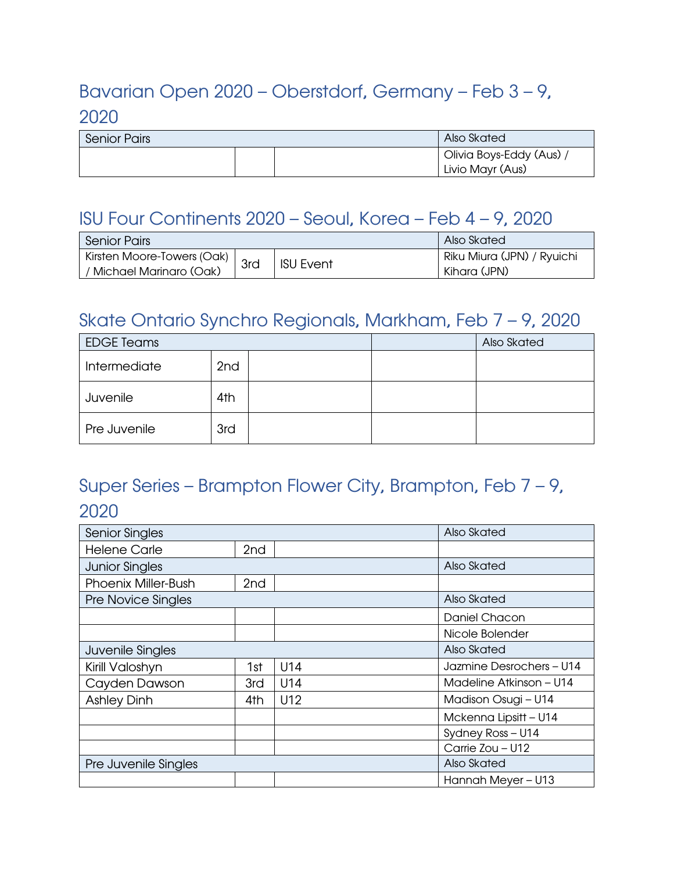## <span id="page-15-0"></span>Bavarian Open 2020 – Oberstdorf, Germany – Feb 3 – 9, 2020

| <b>Senior Pairs</b> | Also Skated |                                            |
|---------------------|-------------|--------------------------------------------|
|                     |             | Olivia Boys-Eddy (Aus)<br>Livio Mayr (Aus) |

## <span id="page-15-1"></span>ISU Four Continents 2020 – Seoul, Korea – Feb 4 – 9, 2020

| <b>Senior Pairs</b>                                   |     |                  | Also Skated                                |
|-------------------------------------------------------|-----|------------------|--------------------------------------------|
| Kirsten Moore-Towers (Oak)<br>(Michael Marinaro (Oak) | 3rd | <b>ISU Event</b> | Riku Miura (JPN) / Ryuichi<br>Kihara (JPN) |

#### <span id="page-15-2"></span>Skate Ontario Synchro Regionals, Markham, Feb 7 – 9, 2020

| <b>EDGE Teams</b> |                 |  | Also Skated |
|-------------------|-----------------|--|-------------|
| Intermediate      | 2 <sub>nd</sub> |  |             |
| Juvenile          | 4th             |  |             |
| Pre Juvenile      | 3rd             |  |             |

## <span id="page-15-3"></span>Super Series – Brampton Flower City, Brampton, Feb 7 – 9, 2020

| <b>Senior Singles</b>      |                 |             | Also Skated              |
|----------------------------|-----------------|-------------|--------------------------|
| <b>Helene Carle</b>        | 2 <sub>nd</sub> |             |                          |
| <b>Junior Singles</b>      |                 |             | Also Skated              |
| <b>Phoenix Miller-Bush</b> | 2 <sub>nd</sub> |             |                          |
| Pre Novice Singles         |                 |             | Also Skated              |
|                            |                 |             | Daniel Chacon            |
|                            |                 |             | Nicole Bolender          |
| Juvenile Singles           |                 | Also Skated |                          |
| Kirill Valoshyn            | 1st             | U14         | Jazmine Desrochers - U14 |
| Cayden Dawson              | 3rd             | U14         | Madeline Atkinson – U14  |
| <b>Ashley Dinh</b>         | 4th             | U12         | Madison Osugi - U14      |
|                            |                 |             | Mckenna Lipsitt - U14    |
|                            |                 |             | Sydney Ross - U14        |
|                            |                 |             | Carrie Zou - U12         |
| Pre Juvenile Singles       |                 |             | Also Skated              |
|                            |                 |             | Hannah Meyer - U13       |